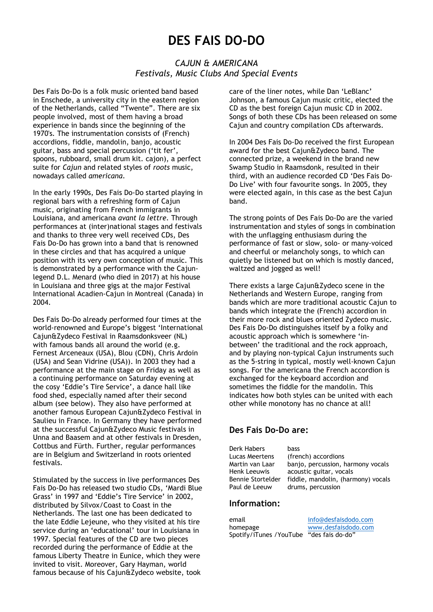# DES FAIS DO-DO

## CAJUN & AMERICANA Festivals, Music Clubs And Special Events

Des Fais Do-Do is a folk music oriented band based in Enschede, a university city in the eastern region of the Netherlands, called "Twente". There are six people involved, most of them having a broad experience in bands since the beginning of the 1970's. The instrumentation consists of (French) accordions, fiddle, mandolin, banjo, acoustic guitar, bass and special percussion ('tit fer', spoons, rubboard, small drum kit. cajon), a perfect suite for Cajun and related styles of roots music, nowadays called americana.

In the early 1990s, Des Fais Do-Do started playing in regional bars with a refreshing form of Cajun music, originating from French immigrants in Louisiana, and americana avant la lettre. Through performances at (inter)national stages and festivals and thanks to three very well received CDs, Des Fais Do-Do has grown into a band that is renowned in these circles and that has acquired a unique position with its very own conception of music. This is demonstrated by a performance with the Cajunlegend D.L. Menard (who died in 2017) at his house in Louisiana and three gigs at the major Festival International Acadien-Cajun in Montreal (Canada) in 2004.

Des Fais Do-Do already performed four times at the world-renowned and Europe's biggest 'International Cajun&Zydeco Festival in Raamsdonksveer (NL) with famous bands all around the world (e.g. Fernest Arceneaux (USA), Blou (CDN), Chris Ardoin (USA) and Sean Vidrine (USA)). In 2003 they had a performance at the main stage on Friday as well as a continuing performance on Saturday evening at the cosy 'Eddie's Tire Service', a dance hall like food shed, especially named after their second album (see below). They also have performed at another famous European Cajun&Zydeco Festival in Saulieu in France. In Germany they have performed at the successful Cajun&Zydeco Music festivals in Unna and Baasem and at other festivals in Dresden, Cottbus and Fürth. Further, regular performances are in Belgium and Switzerland in roots oriented festivals.

Stimulated by the success in live performances Des Fais Do-Do has released two studio CDs, 'Mardi Blue Grass' in 1997 and 'Eddie's Tire Service' in 2002, distributed by Silvox/Coast to Coast in the Netherlands. The last one has been dedicated to the late Eddie Lejeune, who they visited at his tire service during an 'educational' tour in Louisiana in 1997. Special features of the CD are two pieces recorded during the performance of Eddie at the famous Liberty Theatre in Eunice, which they were invited to visit. Moreover, Gary Hayman, world famous because of his Cajun&Zydeco website, took

care of the liner notes, while Dan 'LeBlanc' Johnson, a famous Cajun music critic, elected the CD as the best foreign Cajun music CD in 2002. Songs of both these CDs has been released on some Cajun and country compilation CDs afterwards.

In 2004 Des Fais Do-Do received the first European award for the best Cajun&Zydeco band. The connected prize, a weekend in the brand new Swamp Studio in Raamsdonk, resulted in their third, with an audience recorded CD 'Des Fais Do-Do Live' with four favourite songs. In 2005, they were elected again, in this case as the best Cajun band.

The strong points of Des Fais Do-Do are the varied instrumentation and styles of songs in combination with the unflagging enthusiasm during the performance of fast or slow, solo- or many-voiced and cheerful or melancholy songs, to which can quietly be listened but on which is mostly danced, waltzed and jogged as well!

There exists a large Cajun&Zydeco scene in the Netherlands and Western Europe, ranging from bands which are more traditional acoustic Cajun to bands which integrate the (French) accordion in their more rock and blues oriented Zydeco music. Des Fais Do-Do distinguishes itself by a folky and acoustic approach which is somewhere 'inbetween' the traditional and the rock approach, and by playing non-typical Cajun instruments such as the 5-string in typical, mostly well-known Cajun songs. For the americana the French accordion is exchanged for the keyboard accordion and sometimes the fiddle for the mandolin. This indicates how both styles can be united with each other while monotony has no chance at all!

## Des Fais Do-Do are:

Derk Habers bass

Lucas Meertens (french) accordions Martin van Laar banjo, percussion, harmony vocals Henk Leeuwis acoustic guitar, vocals Bennie Stortelder fiddle, mandolin, (harmony) vocals Paul de Leeuw drums, percussion

#### Information:

email info@desfaisdodo.com homepage www.desfaisdodo.com Spotify/iTunes /YouTube "des fais do-do"